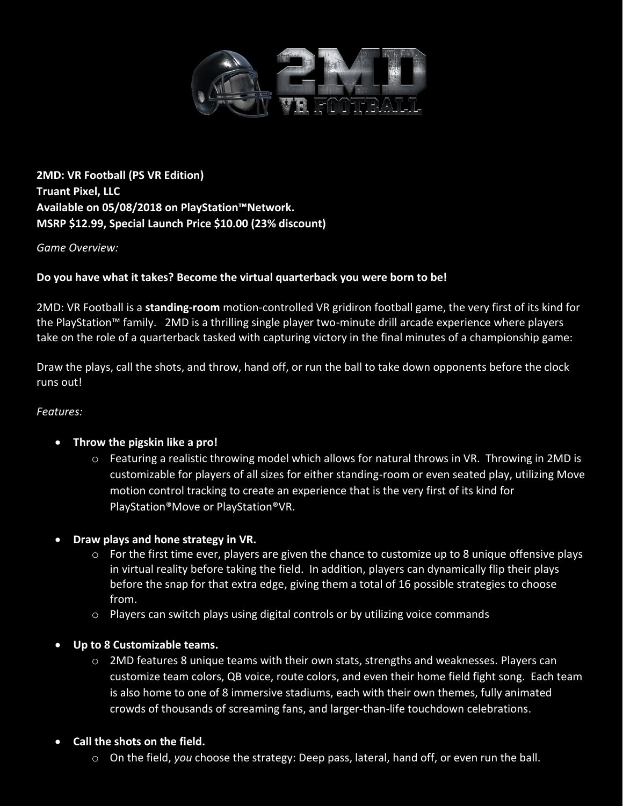

**2MD: VR Football (PS VR Edition) Truant Pixel, LLC Available on 05/08/2018 on PlayStation™Network. MSRP \$12.99, Special Launch Price \$10.00 (23% discount)**

#### *Game Overview:*

### **Do you have what it takes? Become the virtual quarterback you were born to be!**

2MD: VR Football is a **standing-room** motion-controlled VR gridiron football game, the very first of its kind for the PlayStation™ family. 2MD is a thrilling single player two-minute drill arcade experience where players take on the role of a quarterback tasked with capturing victory in the final minutes of a championship game:

Draw the plays, call the shots, and throw, hand off, or run the ball to take down opponents before the clock runs out!

#### *Features:*

#### • **Throw the pigskin like a pro!**

- o Featuring a realistic throwing model which allows for natural throws in VR. Throwing in 2MD is customizable for players of all sizes for either standing-room or even seated play, utilizing Move motion control tracking to create an experience that is the very first of its kind for PlayStation®Move or PlayStation®VR.
- **Draw plays and hone strategy in VR.** 
	- o For the first time ever, players are given the chance to customize up to 8 unique offensive plays in virtual reality before taking the field. In addition, players can dynamically flip their plays before the snap for that extra edge, giving them a total of 16 possible strategies to choose from.
	- o Players can switch plays using digital controls or by utilizing voice commands
- **Up to 8 Customizable teams.** 
	- o 2MD features 8 unique teams with their own stats, strengths and weaknesses. Players can customize team colors, QB voice, route colors, and even their home field fight song. Each team is also home to one of 8 immersive stadiums, each with their own themes, fully animated crowds of thousands of screaming fans, and larger-than-life touchdown celebrations.
- **Call the shots on the field.** 
	- o On the field, *you* choose the strategy: Deep pass, lateral, hand off, or even run the ball.